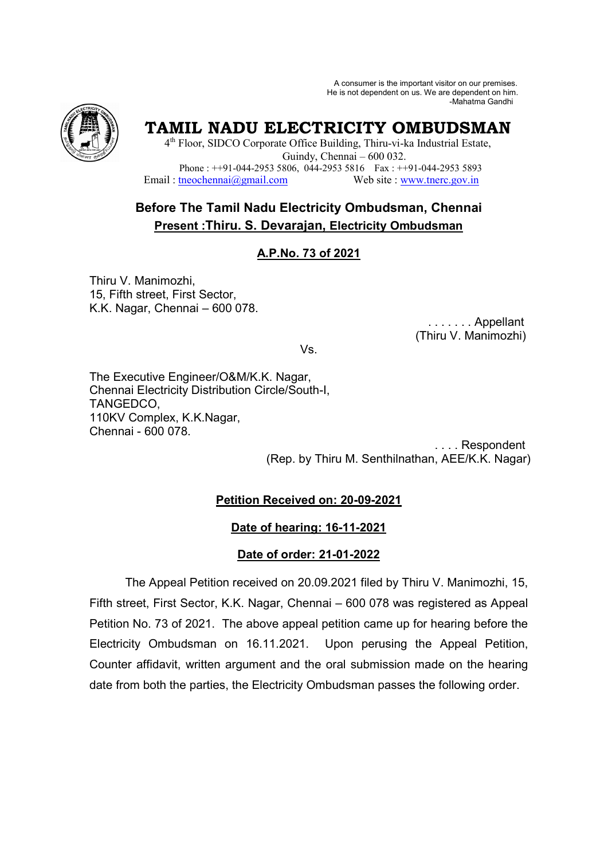A consumer is the important visitor on our premises. He is not dependent on us. We are dependent on him. -Mahatma Gandhi



# **TAMIL NADU ELECTRICITY OMBUDSMAN**

4<sup>th</sup> Floor, SIDCO Corporate Office Building, Thiru-vi-ka Industrial Estate, Guindy, Chennai – 600 032. Phone : ++91-044-2953 5806, 044-2953 5816 Fax : ++91-044-2953 5893 Email: theochennai@gmail.com Web site : www.tnerc.gov.in

## **Before The Tamil Nadu Electricity Ombudsman, Chennai Present :Thiru. S. Devarajan, Electricity Ombudsman**

### **A.P.No. 73 of 2021**

Thiru V. Manimozhi, 15, Fifth street, First Sector, K.K. Nagar, Chennai – 600 078.

 . . . . . . . Appellant (Thiru V. Manimozhi)

Vs.

The Executive Engineer/O&M/K.K. Nagar, Chennai Electricity Distribution Circle/South-I, TANGEDCO, 110KV Complex, K.K.Nagar, Chennai - 600 078.

 . . . . Respondent (Rep. by Thiru M. Senthilnathan, AEE/K.K. Nagar)

### **Petition Received on: 20-09-2021**

**Date of hearing: 16-11-2021**

#### **Date of order: 21-01-2022**

The Appeal Petition received on 20.09.2021 filed by Thiru V. Manimozhi, 15, Fifth street, First Sector, K.K. Nagar, Chennai – 600 078 was registered as Appeal Petition No. 73 of 2021. The above appeal petition came up for hearing before the Electricity Ombudsman on 16.11.2021. Upon perusing the Appeal Petition, Counter affidavit, written argument and the oral submission made on the hearing date from both the parties, the Electricity Ombudsman passes the following order.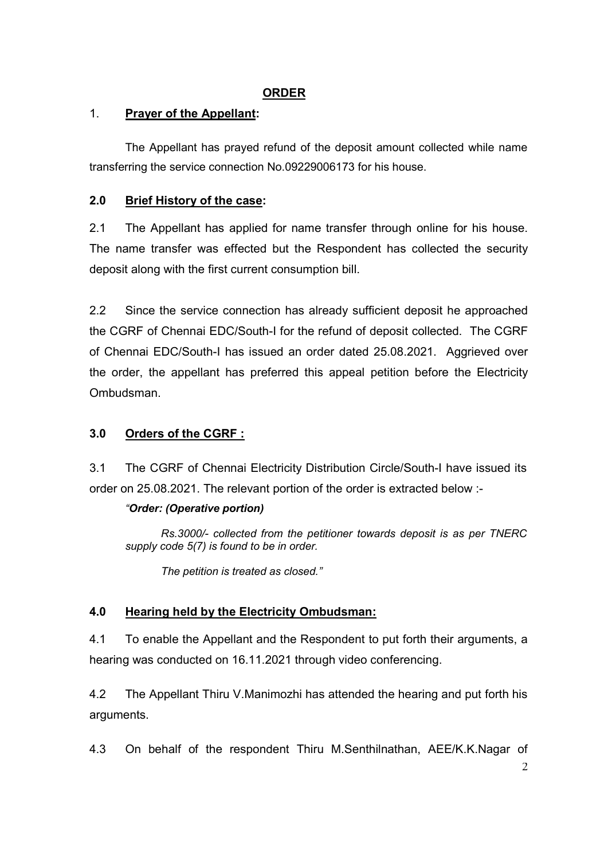### **ORDER**

#### 1. **Prayer of the Appellant:**

The Appellant has prayed refund of the deposit amount collected while name transferring the service connection No.09229006173 for his house.

### **2.0 Brief History of the case:**

2.1 The Appellant has applied for name transfer through online for his house. The name transfer was effected but the Respondent has collected the security deposit along with the first current consumption bill.

2.2 Since the service connection has already sufficient deposit he approached the CGRF of Chennai EDC/South-I for the refund of deposit collected. The CGRF of Chennai EDC/South-I has issued an order dated 25.08.2021. Aggrieved over the order, the appellant has preferred this appeal petition before the Electricity Ombudsman.

## **3.0 Orders of the CGRF :**

3.1 The CGRF of Chennai Electricity Distribution Circle/South-I have issued its order on 25.08.2021. The relevant portion of the order is extracted below :-

#### *"Order: (Operative portion)*

*Rs.3000/- collected from the petitioner towards deposit is as per TNERC supply code 5(7) is found to be in order.* 

 *The petition is treated as closed."* 

### **4.0 Hearing held by the Electricity Ombudsman:**

4.1 To enable the Appellant and the Respondent to put forth their arguments, a hearing was conducted on 16.11.2021 through video conferencing.

4.2 The Appellant Thiru V.Manimozhi has attended the hearing and put forth his arguments.

4.3 On behalf of the respondent Thiru M.Senthilnathan, AEE/K.K.Nagar of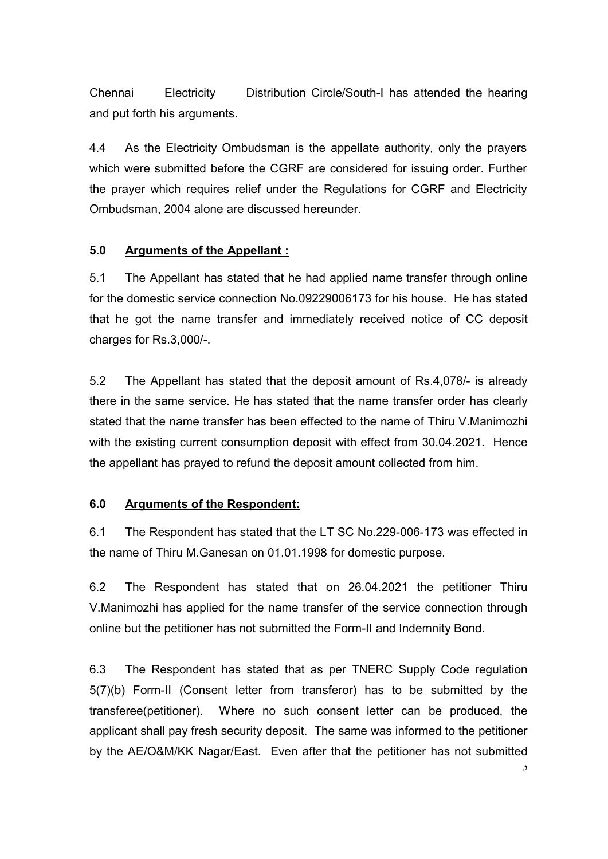Chennai Electricity Distribution Circle/South-I has attended the hearing and put forth his arguments.

4.4 As the Electricity Ombudsman is the appellate authority, only the prayers which were submitted before the CGRF are considered for issuing order. Further the prayer which requires relief under the Regulations for CGRF and Electricity Ombudsman, 2004 alone are discussed hereunder.

### **5.0 Arguments of the Appellant :**

5.1 The Appellant has stated that he had applied name transfer through online for the domestic service connection No.09229006173 for his house. He has stated that he got the name transfer and immediately received notice of CC deposit charges for Rs.3,000/-.

5.2 The Appellant has stated that the deposit amount of Rs.4,078/- is already there in the same service. He has stated that the name transfer order has clearly stated that the name transfer has been effected to the name of Thiru V.Manimozhi with the existing current consumption deposit with effect from 30.04.2021. Hence the appellant has prayed to refund the deposit amount collected from him.

#### **6.0 Arguments of the Respondent:**

6.1 The Respondent has stated that the LT SC No.229-006-173 was effected in the name of Thiru M.Ganesan on 01.01.1998 for domestic purpose.

6.2 The Respondent has stated that on 26.04.2021 the petitioner Thiru V.Manimozhi has applied for the name transfer of the service connection through online but the petitioner has not submitted the Form-II and Indemnity Bond.

6.3 The Respondent has stated that as per TNERC Supply Code regulation 5(7)(b) Form-II (Consent letter from transferor) has to be submitted by the transferee(petitioner). Where no such consent letter can be produced, the applicant shall pay fresh security deposit. The same was informed to the petitioner by the AE/O&M/KK Nagar/East. Even after that the petitioner has not submitted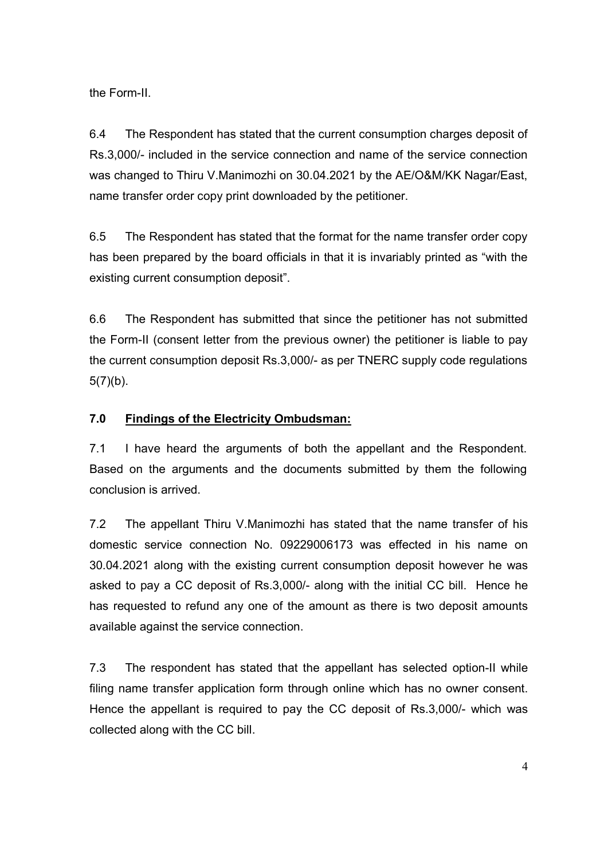the Form-II.

6.4 The Respondent has stated that the current consumption charges deposit of Rs.3,000/- included in the service connection and name of the service connection was changed to Thiru V.Manimozhi on 30.04.2021 by the AE/O&M/KK Nagar/East, name transfer order copy print downloaded by the petitioner.

6.5 The Respondent has stated that the format for the name transfer order copy has been prepared by the board officials in that it is invariably printed as "with the existing current consumption deposit".

6.6 The Respondent has submitted that since the petitioner has not submitted the Form-II (consent letter from the previous owner) the petitioner is liable to pay the current consumption deposit Rs.3,000/- as per TNERC supply code regulations  $5(7)(b)$ .

## **7.0 Findings of the Electricity Ombudsman:**

7.1 I have heard the arguments of both the appellant and the Respondent. Based on the arguments and the documents submitted by them the following conclusion is arrived.

7.2 The appellant Thiru V.Manimozhi has stated that the name transfer of his domestic service connection No. 09229006173 was effected in his name on 30.04.2021 along with the existing current consumption deposit however he was asked to pay a CC deposit of Rs.3,000/- along with the initial CC bill. Hence he has requested to refund any one of the amount as there is two deposit amounts available against the service connection.

7.3 The respondent has stated that the appellant has selected option-II while filing name transfer application form through online which has no owner consent. Hence the appellant is required to pay the CC deposit of Rs.3,000/- which was collected along with the CC bill.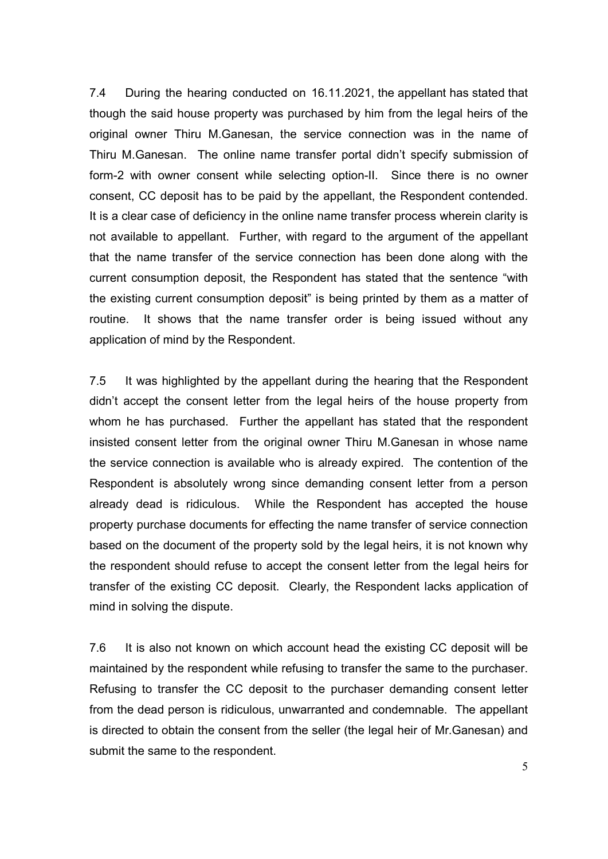7.4 During the hearing conducted on 16.11.2021, the appellant has stated that though the said house property was purchased by him from the legal heirs of the original owner Thiru M.Ganesan, the service connection was in the name of Thiru M.Ganesan. The online name transfer portal didn't specify submission of form-2 with owner consent while selecting option-II. Since there is no owner consent, CC deposit has to be paid by the appellant, the Respondent contended. It is a clear case of deficiency in the online name transfer process wherein clarity is not available to appellant. Further, with regard to the argument of the appellant that the name transfer of the service connection has been done along with the current consumption deposit, the Respondent has stated that the sentence "with the existing current consumption deposit" is being printed by them as a matter of routine. It shows that the name transfer order is being issued without any application of mind by the Respondent.

7.5 It was highlighted by the appellant during the hearing that the Respondent didn't accept the consent letter from the legal heirs of the house property from whom he has purchased. Further the appellant has stated that the respondent insisted consent letter from the original owner Thiru M.Ganesan in whose name the service connection is available who is already expired. The contention of the Respondent is absolutely wrong since demanding consent letter from a person already dead is ridiculous. While the Respondent has accepted the house property purchase documents for effecting the name transfer of service connection based on the document of the property sold by the legal heirs, it is not known why the respondent should refuse to accept the consent letter from the legal heirs for transfer of the existing CC deposit. Clearly, the Respondent lacks application of mind in solving the dispute.

7.6 It is also not known on which account head the existing CC deposit will be maintained by the respondent while refusing to transfer the same to the purchaser. Refusing to transfer the CC deposit to the purchaser demanding consent letter from the dead person is ridiculous, unwarranted and condemnable. The appellant is directed to obtain the consent from the seller (the legal heir of Mr.Ganesan) and submit the same to the respondent.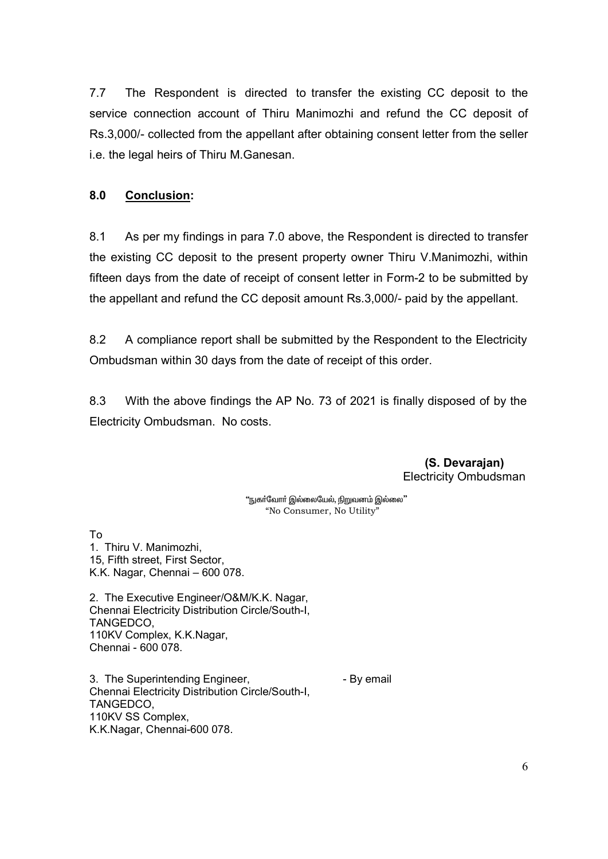7.7 The Respondent is directed to transfer the existing CC deposit to the service connection account of Thiru Manimozhi and refund the CC deposit of Rs.3,000/- collected from the appellant after obtaining consent letter from the seller i.e. the legal heirs of Thiru M.Ganesan.

### **8.0 Conclusion:**

8.1 As per my findings in para 7.0 above, the Respondent is directed to transfer the existing CC deposit to the present property owner Thiru V.Manimozhi, within fifteen days from the date of receipt of consent letter in Form-2 to be submitted by the appellant and refund the CC deposit amount Rs.3,000/- paid by the appellant.

8.2 A compliance report shall be submitted by the Respondent to the Electricity Ombudsman within 30 days from the date of receipt of this order.

8.3 With the above findings the AP No. 73 of 2021 is finally disposed of by the Electricity Ombudsman. No costs.

> **(S. Devarajan)**  Electricity Ombudsman

"நுகா்வோா் இல்லையேல், நிறுவனம் இல்லை" "No Consumer, No Utility"

To

1. Thiru V. Manimozhi, 15, Fifth street, First Sector, K.K. Nagar, Chennai – 600 078.

2. The Executive Engineer/O&M/K.K. Nagar, Chennai Electricity Distribution Circle/South-I, TANGEDCO, 110KV Complex, K.K.Nagar, Chennai - 600 078.

3. The Superintending Engineer, The Superintending Engineer, Chennai Electricity Distribution Circle/South-I, TANGEDCO, 110KV SS Complex, K.K.Nagar, Chennai-600 078.